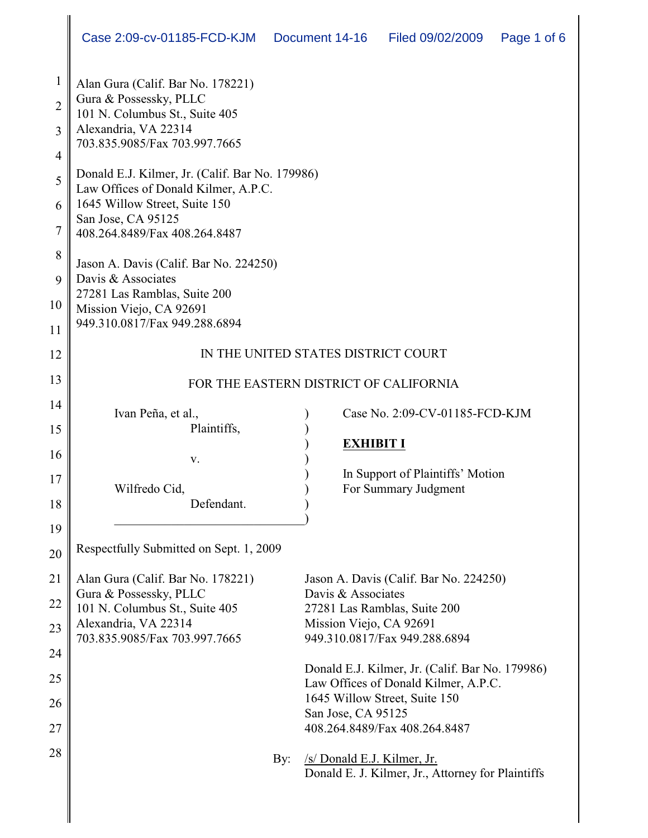| 1<br>$\overline{2}$<br>3<br>$\overline{4}$ | Alan Gura (Calif. Bar No. 178221)<br>Gura & Possessky, PLLC<br>101 N. Columbus St., Suite 405<br>Alexandria, VA 22314<br>703.835.9085/Fax 703.997.7665 |                                                                                  |  |  |  |  |  |  |  |
|--------------------------------------------|--------------------------------------------------------------------------------------------------------------------------------------------------------|----------------------------------------------------------------------------------|--|--|--|--|--|--|--|
| 5                                          | Donald E.J. Kilmer, Jr. (Calif. Bar No. 179986)<br>Law Offices of Donald Kilmer, A.P.C.                                                                |                                                                                  |  |  |  |  |  |  |  |
| 6                                          | 1645 Willow Street, Suite 150                                                                                                                          |                                                                                  |  |  |  |  |  |  |  |
| $\overline{7}$                             | San Jose, CA 95125<br>408.264.8489/Fax 408.264.8487                                                                                                    |                                                                                  |  |  |  |  |  |  |  |
| 8                                          | Jason A. Davis (Calif. Bar No. 224250)                                                                                                                 |                                                                                  |  |  |  |  |  |  |  |
| 9                                          | Davis & Associates<br>27281 Las Ramblas, Suite 200                                                                                                     |                                                                                  |  |  |  |  |  |  |  |
| 10                                         | Mission Viejo, CA 92691<br>949.310.0817/Fax 949.288.6894                                                                                               |                                                                                  |  |  |  |  |  |  |  |
| 11                                         |                                                                                                                                                        |                                                                                  |  |  |  |  |  |  |  |
| 12                                         | IN THE UNITED STATES DISTRICT COURT                                                                                                                    |                                                                                  |  |  |  |  |  |  |  |
| 13                                         | FOR THE EASTERN DISTRICT OF CALIFORNIA                                                                                                                 |                                                                                  |  |  |  |  |  |  |  |
| 14                                         | Ivan Peña, et al.,                                                                                                                                     | Case No. 2:09-CV-01185-FCD-KJM                                                   |  |  |  |  |  |  |  |
| 15                                         | Plaintiffs,                                                                                                                                            |                                                                                  |  |  |  |  |  |  |  |
| 16                                         |                                                                                                                                                        | <b>EXHIBIT I</b>                                                                 |  |  |  |  |  |  |  |
| 17                                         | V.                                                                                                                                                     | In Support of Plaintiffs' Motion                                                 |  |  |  |  |  |  |  |
|                                            | Wilfredo Cid,                                                                                                                                          | For Summary Judgment                                                             |  |  |  |  |  |  |  |
| 18                                         | Defendant.                                                                                                                                             |                                                                                  |  |  |  |  |  |  |  |
| 19                                         |                                                                                                                                                        |                                                                                  |  |  |  |  |  |  |  |
| 20                                         | Respectfully Submitted on Sept. 1, 2009                                                                                                                |                                                                                  |  |  |  |  |  |  |  |
| 21                                         | Alan Gura (Calif. Bar No. 178221)                                                                                                                      | Jason A. Davis (Calif. Bar No. 224250)                                           |  |  |  |  |  |  |  |
| 22                                         | Gura & Possessky, PLLC<br>101 N. Columbus St., Suite 405                                                                                               | Davis & Associates<br>27281 Las Ramblas, Suite 200                               |  |  |  |  |  |  |  |
| 23                                         | Alexandria, VA 22314                                                                                                                                   | Mission Viejo, CA 92691                                                          |  |  |  |  |  |  |  |
|                                            | 703.835.9085/Fax 703.997.7665                                                                                                                          | 949.310.0817/Fax 949.288.6894                                                    |  |  |  |  |  |  |  |
| 24                                         |                                                                                                                                                        | Donald E.J. Kilmer, Jr. (Calif. Bar No. 179986)                                  |  |  |  |  |  |  |  |
| 25                                         | Law Offices of Donald Kilmer, A.P.C.                                                                                                                   |                                                                                  |  |  |  |  |  |  |  |
| 26                                         |                                                                                                                                                        | 1645 Willow Street, Suite 150                                                    |  |  |  |  |  |  |  |
| 27                                         |                                                                                                                                                        | San Jose, CA 95125<br>408.264.8489/Fax 408.264.8487                              |  |  |  |  |  |  |  |
|                                            |                                                                                                                                                        |                                                                                  |  |  |  |  |  |  |  |
| 28                                         | By:                                                                                                                                                    | /s/ Donald E.J. Kilmer, Jr.<br>Donald E. J. Kilmer, Jr., Attorney for Plaintiffs |  |  |  |  |  |  |  |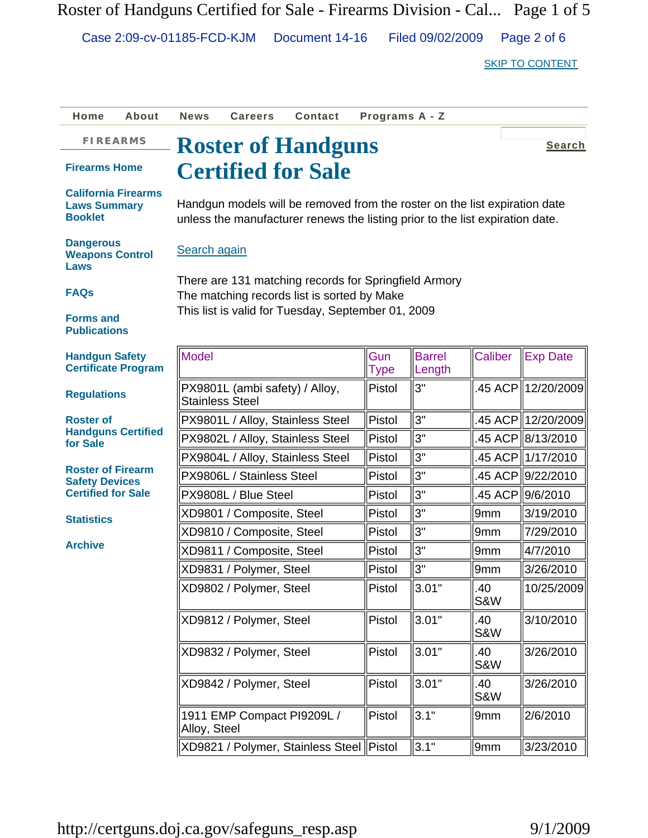Roster of Handguns Certified for Sale - Firearms Division - Cal... Page 1 of 5

Case 2:09-cv-01185-FCD-KJM Document 14-16 Filed 09/02/2009 Page 2 of 6

SKIP TO CONTENT

| Home                                                                | About                     | <b>News</b>                                                                                                                                                 | <b>Careers</b>                 | Contact                                  | Programs A - Z |                         |                       |                    |
|---------------------------------------------------------------------|---------------------------|-------------------------------------------------------------------------------------------------------------------------------------------------------------|--------------------------------|------------------------------------------|----------------|-------------------------|-----------------------|--------------------|
| <b>FIREARMS</b>                                                     |                           |                                                                                                                                                             |                                | <b>Roster of Handguns</b>                |                |                         |                       | <b>Search</b>      |
| <b>Firearms Home</b><br><b>Certified for Sale</b>                   |                           |                                                                                                                                                             |                                |                                          |                |                         |                       |                    |
| <b>California Firearms</b><br><b>Laws Summary</b><br><b>Booklet</b> |                           | Handgun models will be removed from the roster on the list expiration date<br>unless the manufacturer renews the listing prior to the list expiration date. |                                |                                          |                |                         |                       |                    |
| <b>Dangerous</b><br>Search again<br><b>Weapons Control</b><br>Laws  |                           |                                                                                                                                                             |                                |                                          |                |                         |                       |                    |
| <b>FAQs</b>                                                         |                           | There are 131 matching records for Springfield Armory<br>The matching records list is sorted by Make<br>This list is valid for Tuesday, September 01, 2009  |                                |                                          |                |                         |                       |                    |
| <b>Forms and</b><br><b>Publications</b>                             |                           |                                                                                                                                                             |                                |                                          |                |                         |                       |                    |
| <b>Handgun Safety</b><br><b>Certificate Program</b>                 |                           | Model                                                                                                                                                       |                                |                                          | Gun<br>Type    | <b>Barrel</b><br>Length | <b>Caliber</b>        | <b>Exp Date</b>    |
| <b>Regulations</b>                                                  |                           | <b>Stainless Steel</b>                                                                                                                                      | PX9801L (ambi safety) / Alloy, |                                          | Pistol         | 3"                      |                       | 45 ACP 12/20/2009  |
| <b>Roster of</b>                                                    | <b>Handguns Certified</b> |                                                                                                                                                             |                                | PX9801L / Alloy, Stainless Steel         | Pistol         | 3"                      |                       | .45 ACP 12/20/2009 |
| for Sale                                                            |                           |                                                                                                                                                             |                                | PX9802L / Alloy, Stainless Steel         | Pistol         | 3"                      |                       | .45 ACP 8/13/2010  |
|                                                                     |                           |                                                                                                                                                             |                                | PX9804L / Alloy, Stainless Steel         | Pistol         | 3"                      |                       | .45 ACP 1/17/2010  |
| <b>Roster of Firearm</b><br><b>Safety Devices</b>                   |                           |                                                                                                                                                             | PX9806L / Stainless Steel      |                                          | Pistol         | 3"                      |                       | .45 ACP 9/22/2010  |
| <b>Certified for Sale</b>                                           |                           |                                                                                                                                                             | PX9808L / Blue Steel           |                                          | Pistol         | 3"                      |                       | .45 ACP 9/6/2010   |
| <b>Statistics</b>                                                   |                           |                                                                                                                                                             | XD9801 / Composite, Steel      |                                          | Pistol         | 3"                      | 9 <sub>mm</sub>       | 3/19/2010          |
|                                                                     |                           |                                                                                                                                                             | XD9810 / Composite, Steel      |                                          | Pistol         | 3"                      | 9mm                   | 7/29/2010          |
| <b>Archive</b>                                                      |                           |                                                                                                                                                             | XD9811 / Composite, Steel      |                                          | Pistol         | 3"                      | 9mm                   | 4/7/2010           |
|                                                                     |                           |                                                                                                                                                             | XD9831 / Polymer, Steel        |                                          | Pistol         | 3"                      | 9mm                   | 3/26/2010          |
|                                                                     |                           |                                                                                                                                                             | XD9802 / Polymer, Steel        |                                          | Pistol         | 3.01"                   | .40<br><b>S&amp;W</b> | 10/25/2009         |
|                                                                     |                           |                                                                                                                                                             | XD9812 / Polymer, Steel        |                                          | Pistol         | 3.01"                   | .40<br>S&W            | 3/10/2010          |
|                                                                     |                           |                                                                                                                                                             | XD9832 / Polymer, Steel        |                                          | Pistol         | 3.01"                   | .40<br>S&W            | 3/26/2010          |
|                                                                     |                           |                                                                                                                                                             | XD9842 / Polymer, Steel        |                                          | Pistol         | 3.01"                   | .40<br>S&W            | 3/26/2010          |
|                                                                     |                           | Alloy, Steel                                                                                                                                                | 1911 EMP Compact PI9209L /     |                                          | Pistol         | 3.1"                    | 9mm                   | 2/6/2010           |
|                                                                     |                           |                                                                                                                                                             |                                | XD9821 / Polymer, Stainless Steel Pistol |                | 3.1"                    | 9mm                   | 3/23/2010          |

http://certguns.doj.ca.gov/safeguns\_resp.asp 9/1/2009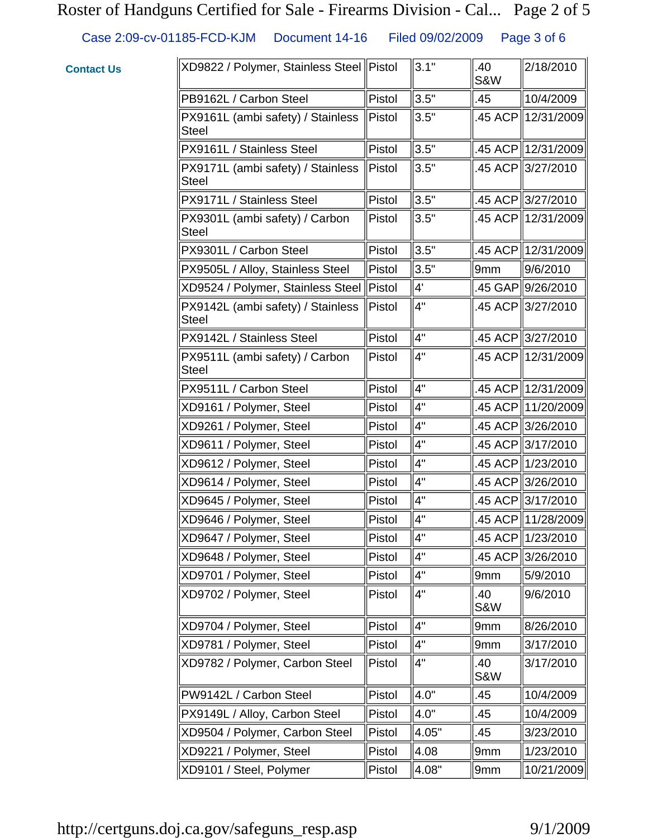#### Roster of Handguns Certified for Sale - Firearms Division - Cal... Page 2 of 5

Case 2:09-cv-01185-FCD-KJM Document 14-16 Filed 09/02/2009 Page 3 of 6

#### $XD9822 /$  Polymer, Stainless Steel Pistol  $\|3.1$ "  $\|.40$ S&W 2/18/2010 PB9162L / Carbon Steel Pistol 3.5" | 10/4/2009 PX9161L (ambi safety) / Stainless Steel Pistol  $\|3.5\|$  .45 ACP 12/31/2009 PX9161L / Stainless Steel  $\parallel$ Pistol  $\parallel$ 3.5"  $\parallel$ .45 ACP $\parallel$ 12/31/2009 PX9171L (ambi safety) / Stainless Steel  $\|$ Pistol  $\|$ 3.5"  $\|$ .45 ACP $\|$ 3/27/2010 PX9171L / Stainless Steel | Pistol | 3.5" | 45 ACP | 3/27/2010 PX9301L (ambi safety) / Carbon **Steel** Pistol  $\|3.5''$  .45 ACP 12/31/2009 PX9301L / Carbon Steel Pistol 3.5" | 45 ACP 12/31/2009 PX9505L / Alloy, Stainless Steel  $\Vert$ Pistol  $\Vert$ 3.5"  $\Vert$ 9mm  $\Vert$ 9/6/2010  $XD9524$  / Polymer, Stainless Steel Pistol  $\|4'$  .45 GAP 9/26/2010 PX9142L (ambi safety) / Stainless **Steel** Pistol  $\|4\|$  .45 ACP 3/27/2010  $PX9142L / Stainless Steel$  | Pistol  $||4"$   $||.45 ACP ||3/27/2010$ PX9511L (ambi safety) / Carbon Steel Pistol  $\|4\|$  .45 ACP 12/31/2009 PX9511L / Carbon Steel Pistol 4" | .45 ACP 12/31/2009  $XD9161 /$  Polymer, Steel  $\|$ Pistol  $\|$ 4"  $\|$ .45 ACP $\|$ 11/20/2009  $XD9261$  / Polymer, Steel  $\|P\|$  Pistol  $\|4^{\prime\prime}$  .45 ACP 3/26/2010  $XD9611 /$  Polymer, Steel  $\|$ Pistol  $\|$ 4"  $\|$ .45 ACP $\|$ 3/17/2010  $XD9612 /$  Polymer, Steel  $\|$ Pistol  $\|$ 4"  $\|$ .45 ACP $\|$ 1/23/2010  $XD9614 /$  Polymer, Steel  $\|$ Pistol  $\|$ 4"  $\|$ .45 ACP $\|$ 3/26/2010  $XD9645$  / Polymer, Steel  $\|$ Pistol  $\|$ 4"  $\|$ .45 ACP $\|$ 3/17/2010 XD9646 / Polymer, Steel  $\parallel$ Pistol  $\parallel$ 4"  $\parallel$ .45 ACP $\parallel$ 11/28/2009  $XD9647 /$  Polymer, Steel  $\|$ Pistol  $\|$ 4"  $\|$ .45 ACP $\|$ 1/23/2010  $XD9648 /$  Polymer, Steel  $\|$ Pistol  $\|$ 4"  $\|$ .45 ACP $\|$ 3/26/2010  $XD9701 /$  Polymer, Steel  $\|$ Pistol  $\|$ 4"  $\|$ 9mm  $\|$ 5/9/2010  $XD9702 /$  Polymer, Steel  $\Vert$ Pistol  $\Vert 4^{\prime\prime}$  .40 S&W 9/6/2010  $XD9704$  / Polymer, Steel  $\|$ Pistol  $\|$ 4"  $\|$ 9mm  $\|$ 8/26/2010  $XD9781 /$  Polymer, Steel  $\|$ Pistol  $\|$ 4"  $\|$ 9mm  $\|$ 3/17/2010  $XD9782$  / Polymer, Carbon Steel Pistol  $\|4$ "  $\|.40$ S&W 3/17/2010 PW9142L / Carbon Steel Pistol  $\|4.0"$   $\|.45$   $\|10/4/2009$  $PX9149L /$  Alloy, Carbon Steel  $\Vert$ Pistol  $\Vert$ 4.0"  $\Vert$ .45  $\Vert$ 10/4/2009  $XD9504$  / Polymer, Carbon Steel | Pistol  $\|4.05'' - \|.45\|$  | 3/23/2010 XD9221 / Polymer, Steel  $\parallel$ Pistol  $\parallel$ 4.08  $\parallel$ 9mm  $\parallel$ 1/23/2010 XD9101 / Steel, Polymer Pistol 4.08" 9mm 10/21/2009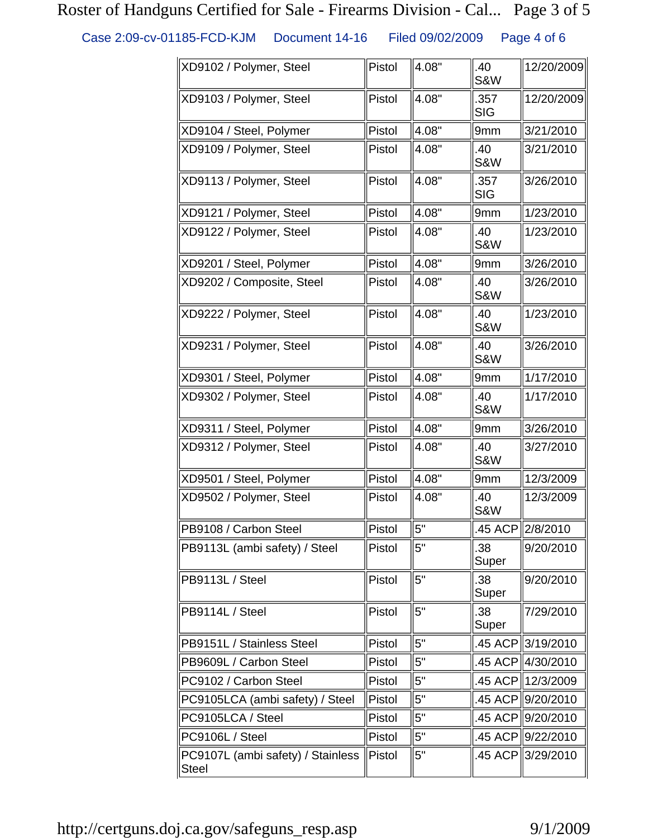## Roster of Handguns Certified for Sale - Firearms Division - Cal... Page 3 of 5

Case 2:09-cv-01185-FCD-KJM Document 14-16 Filed 09/02/2009 Page 4 of 6

| XD9102 / Polymer, Steel                           | Pistol | 4.08" | .40<br><b>S&amp;W</b> | 12/20/2009        |
|---------------------------------------------------|--------|-------|-----------------------|-------------------|
| XD9103 / Polymer, Steel                           | Pistol | 4.08" | .357<br><b>SIG</b>    | 12/20/2009        |
| XD9104 / Steel, Polymer                           | Pistol | 4.08" | 9mm                   | 3/21/2010         |
| XD9109 / Polymer, Steel                           | Pistol | 4.08" | .40<br><b>S&amp;W</b> | 3/21/2010         |
| XD9113 / Polymer, Steel                           | Pistol | 4.08" | .357<br><b>SIG</b>    | 3/26/2010         |
| XD9121 / Polymer, Steel                           | Pistol | 4.08" | 9mm                   | 1/23/2010         |
| XD9122 / Polymer, Steel                           | Pistol | 4.08" | .40<br><b>S&amp;W</b> | 1/23/2010         |
| XD9201 / Steel, Polymer                           | Pistol | 4.08" | 9mm                   | 3/26/2010         |
| XD9202 / Composite, Steel                         | Pistol | 4.08" | .40<br><b>S&amp;W</b> | 3/26/2010         |
| XD9222 / Polymer, Steel                           | Pistol | 4.08" | .40<br><b>S&amp;W</b> | 1/23/2010         |
| XD9231 / Polymer, Steel                           | Pistol | 4.08" | .40<br><b>S&amp;W</b> | 3/26/2010         |
| XD9301 / Steel, Polymer                           | Pistol | 4.08" | 9mm                   | 1/17/2010         |
| XD9302 / Polymer, Steel                           | Pistol | 4.08" | .40<br><b>S&amp;W</b> | 1/17/2010         |
| XD9311 / Steel, Polymer                           | Pistol | 4.08" | 9mm                   | 3/26/2010         |
| XD9312 / Polymer, Steel                           | Pistol | 4.08" | .40<br><b>S&amp;W</b> | 3/27/2010         |
| XD9501 / Steel, Polymer                           | Pistol | 4.08" | 9mm                   | 12/3/2009         |
| XD9502 / Polymer, Steel                           | Pistol | 4.08" | .40<br><b>S&amp;W</b> | 12/3/2009         |
| PB9108 / Carbon Steel                             | Pistol | 5"    |                       | .45 ACP 2/8/2010  |
| PB9113L (ambi safety) / Steel                     | Pistol | 5"    | .38<br>Super          | 9/20/2010         |
| PB9113L / Steel                                   | Pistol | 5"    | .38<br>Super          | 9/20/2010         |
| PB9114L / Steel                                   | Pistol | 5"    | .38<br>Super          | 7/29/2010         |
| PB9151L / Stainless Steel                         | Pistol | 5"    |                       | .45 ACP 3/19/2010 |
| PB9609L / Carbon Steel                            | Pistol | 5"    |                       | .45 ACP∥4/30/2010 |
| PC9102 / Carbon Steel                             | Pistol | 5"    |                       | .45 ACP∥12/3/2009 |
| PC9105LCA (ambi safety) / Steel                   | Pistol | 5"    |                       | .45 ACP∥9/20/2010 |
| PC9105LCA / Steel                                 | Pistol | 5"    |                       | .45 ACP∥9/20/2010 |
| PC9106L / Steel                                   | Pistol | 5"    |                       | .45 ACP∥9/22/2010 |
| PC9107L (ambi safety) / Stainless<br><b>Steel</b> | Pistol | 5"    |                       | .45 ACP 3/29/2010 |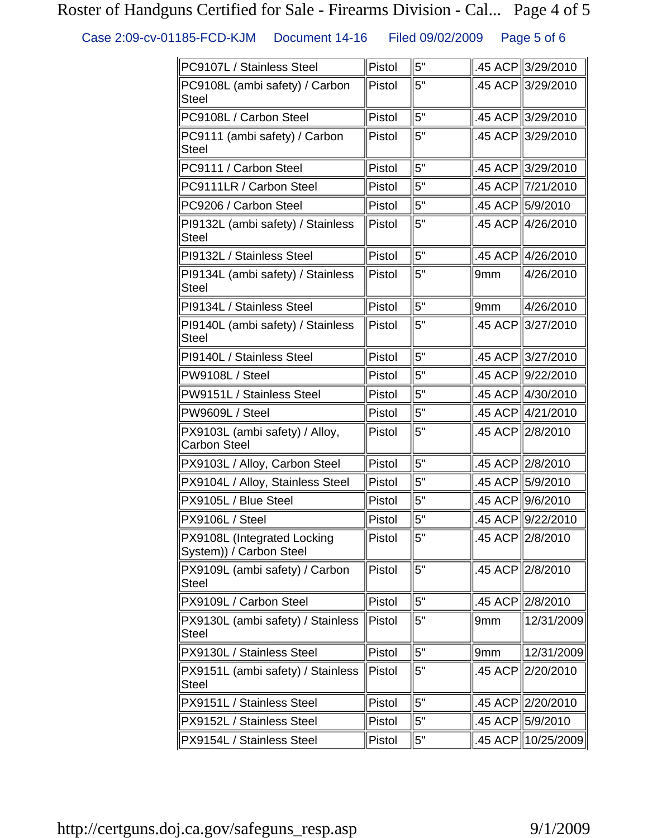# Roster of Handguns Certified for Sale - Firearms Division - Cal... Page 4 of 5

Case 2:09-cv-01185-FCD-KJM Document 14-16 Filed 09/02/2009 Page 5 of 6

| PC9107L / Stainless Steel                              | Pistol | 5" |                 | .45 ACP 3/29/2010  |
|--------------------------------------------------------|--------|----|-----------------|--------------------|
| PC9108L (ambi safety) / Carbon<br><b>Steel</b>         | Pistol | 5" |                 | .45 ACP 3/29/2010  |
| PC9108L / Carbon Steel                                 | Pistol | 5" |                 | .45 ACP 3/29/2010  |
| PC9111 (ambi safety) / Carbon<br><b>Steel</b>          | Pistol | 5" |                 | .45 ACP 3/29/2010  |
| PC9111 / Carbon Steel                                  | Pistol | 5" |                 | .45 ACP 3/29/2010  |
| PC9111LR / Carbon Steel                                | Pistol | 5" | .45 ACP         | 7/21/2010          |
| PC9206 / Carbon Steel                                  | Pistol | 5" |                 | .45 ACP 5/9/2010   |
| PI9132L (ambi safety) / Stainless<br><b>Steel</b>      | Pistol | 5" |                 | .45 ACP 4/26/2010  |
| PI9132L / Stainless Steel                              | Pistol | 5" |                 | .45 ACP 4/26/2010  |
| PI9134L (ambi safety) / Stainless<br><b>Steel</b>      | Pistol | 5" | 9 <sub>mm</sub> | 4/26/2010          |
| PI9134L / Stainless Steel                              | Pistol | 5" | 9mm             | 4/26/2010          |
| PI9140L (ambi safety) / Stainless<br><b>Steel</b>      | Pistol | 5" |                 | .45 ACP 3/27/2010  |
| PI9140L / Stainless Steel                              | Pistol | 5" |                 | .45 ACP 3/27/2010  |
| PW9108L / Steel                                        | Pistol | 5" |                 | .45 ACP 9/22/2010  |
| PW9151L / Stainless Steel                              | Pistol | 5" |                 | .45 ACP 4/30/2010  |
| PW9609L / Steel                                        | Pistol | 5" |                 | .45 ACP 4/21/2010  |
| PX9103L (ambi safety) / Alloy,<br><b>Carbon Steel</b>  | Pistol | 5" | .45 ACP         | 2/8/2010           |
| PX9103L / Alloy, Carbon Steel                          | Pistol | 5" |                 | .45 ACP 2/8/2010   |
| PX9104L / Alloy, Stainless Steel                       | Pistol | 5" | .45 ACP         | 5/9/2010           |
| PX9105L / Blue Steel                                   | Pistol | 5" |                 | .45 ACP∥9/6/2010   |
| PX9106L / Steel                                        | Pistol | 5" |                 | .45 ACP 9/22/2010  |
| PX9108L (Integrated Locking<br>System)) / Carbon Steel | Pistol | 5" |                 | .45 ACP 2/8/2010   |
| PX9109L (ambi safety) / Carbon<br><b>Steel</b>         | Pistol | 5" | .45 ACP         | 2/8/2010           |
| PX9109L / Carbon Steel                                 | Pistol | 5" |                 | .45 ACP 2/8/2010   |
| PX9130L (ambi safety) / Stainless<br><b>Steel</b>      | Pistol | 5" | 9mm             | 12/31/2009         |
| PX9130L / Stainless Steel                              | Pistol | 5" | 9 <sub>mm</sub> | 12/31/2009         |
| PX9151L (ambi safety) / Stainless<br><b>Steel</b>      | Pistol | 5" | .45 ACP         | 2/20/2010          |
| PX9151L / Stainless Steel                              | Pistol | 5" |                 | .45 ACP 2/20/2010  |
| PX9152L / Stainless Steel                              | Pistol | 5" |                 | .45 ACP 5/9/2010   |
| PX9154L / Stainless Steel                              | Pistol | 5" |                 | .45 ACP 10/25/2009 |